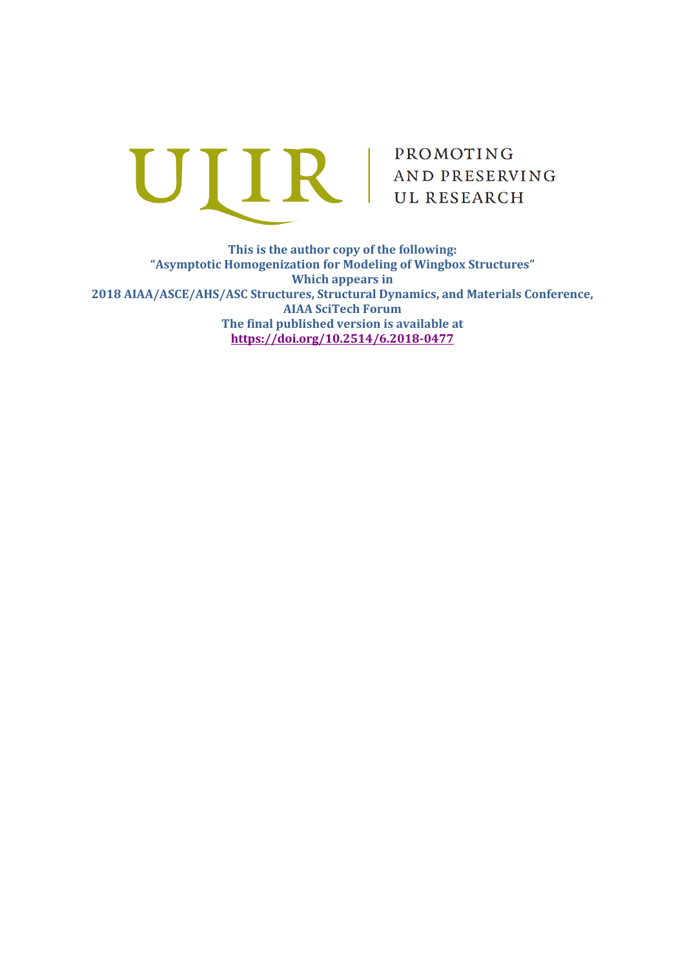

**This is the author copy of the following: "Asymptotic Homogenization for Modeling of Wingbox Structures" Which appears in 2018 AIAA/ASCE/AHS/ASC Structures, Structural Dynamics, and Materials Conference, AIAA SciTech Forum The final published version is available at <https://doi.org/10.2514/6.2018-0477>**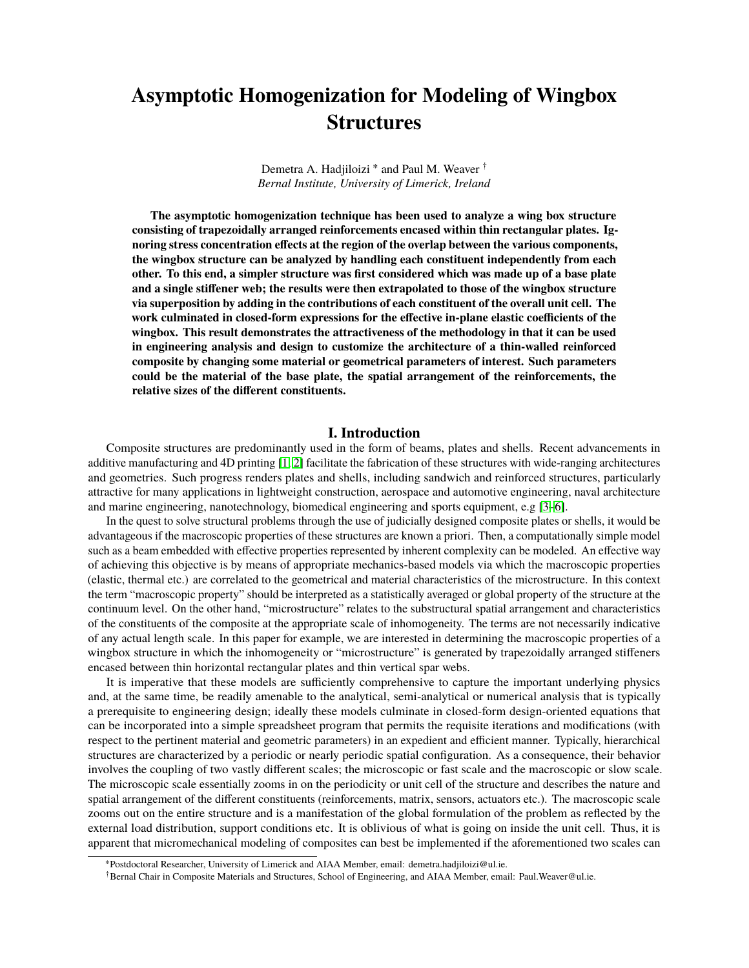# **Asymptotic Homogenization for Modeling of Wingbox Structures**

Demetra A. Hadjiloizi <sup>∗</sup> and Paul M. Weaver <sup>†</sup> *Bernal Institute, University of Limerick, Ireland*

**The asymptotic homogenization technique has been used to analyze a wing box structure consisting of trapezoidally arranged reinforcements encased within thin rectangular plates. Ignoring stress concentration effects at the region of the overlap between the various components, the wingbox structure can be analyzed by handling each constituent independently from each other. To this end, a simpler structure was first considered which was made up of a base plate and a single stiffener web; the results were then extrapolated to those of the wingbox structure via superposition by adding in the contributions of each constituent of the overall unit cell. The work culminated in closed-form expressions for the effective in-plane elastic coefficients of the wingbox. This result demonstrates the attractiveness of the methodology in that it can be used in engineering analysis and design to customize the architecture of a thin-walled reinforced composite by changing some material or geometrical parameters of interest. Such parameters could be the material of the base plate, the spatial arrangement of the reinforcements, the relative sizes of the different constituents.**

## **I. Introduction**

Composite structures are predominantly used in the form of beams, plates and shells. Recent advancements in additive manufacturing and 4D printing [\[1,](#page-13-0) [2\]](#page-13-1) facilitate the fabrication of these structures with wide-ranging architectures and geometries. Such progress renders plates and shells, including sandwich and reinforced structures, particularly attractive for many applications in lightweight construction, aerospace and automotive engineering, naval architecture and marine engineering, nanotechnology, biomedical engineering and sports equipment, e.g [\[3–](#page-14-0)[6\]](#page-14-1).

In the quest to solve structural problems through the use of judicially designed composite plates or shells, it would be advantageous if the macroscopic properties of these structures are known a priori. Then, a computationally simple model such as a beam embedded with effective properties represented by inherent complexity can be modeled. An effective way of achieving this objective is by means of appropriate mechanics-based models via which the macroscopic properties (elastic, thermal etc.) are correlated to the geometrical and material characteristics of the microstructure. In this context the term "macroscopic property" should be interpreted as a statistically averaged or global property of the structure at the continuum level. On the other hand, "microstructure" relates to the substructural spatial arrangement and characteristics of the constituents of the composite at the appropriate scale of inhomogeneity. The terms are not necessarily indicative of any actual length scale. In this paper for example, we are interested in determining the macroscopic properties of a wingbox structure in which the inhomogeneity or "microstructure" is generated by trapezoidally arranged stiffeners encased between thin horizontal rectangular plates and thin vertical spar webs.

It is imperative that these models are sufficiently comprehensive to capture the important underlying physics and, at the same time, be readily amenable to the analytical, semi-analytical or numerical analysis that is typically a prerequisite to engineering design; ideally these models culminate in closed-form design-oriented equations that can be incorporated into a simple spreadsheet program that permits the requisite iterations and modifications (with respect to the pertinent material and geometric parameters) in an expedient and efficient manner. Typically, hierarchical structures are characterized by a periodic or nearly periodic spatial configuration. As a consequence, their behavior involves the coupling of two vastly different scales; the microscopic or fast scale and the macroscopic or slow scale. The microscopic scale essentially zooms in on the periodicity or unit cell of the structure and describes the nature and spatial arrangement of the different constituents (reinforcements, matrix, sensors, actuators etc.). The macroscopic scale zooms out on the entire structure and is a manifestation of the global formulation of the problem as reflected by the external load distribution, support conditions etc. It is oblivious of what is going on inside the unit cell. Thus, it is apparent that micromechanical modeling of composites can best be implemented if the aforementioned two scales can

<sup>∗</sup>Postdoctoral Researcher, University of Limerick and AIAA Member, email: demetra.hadjiloizi@ul.ie.

<sup>†</sup>Bernal Chair in Composite Materials and Structures, School of Engineering, and AIAA Member, email: Paul.Weaver@ul.ie.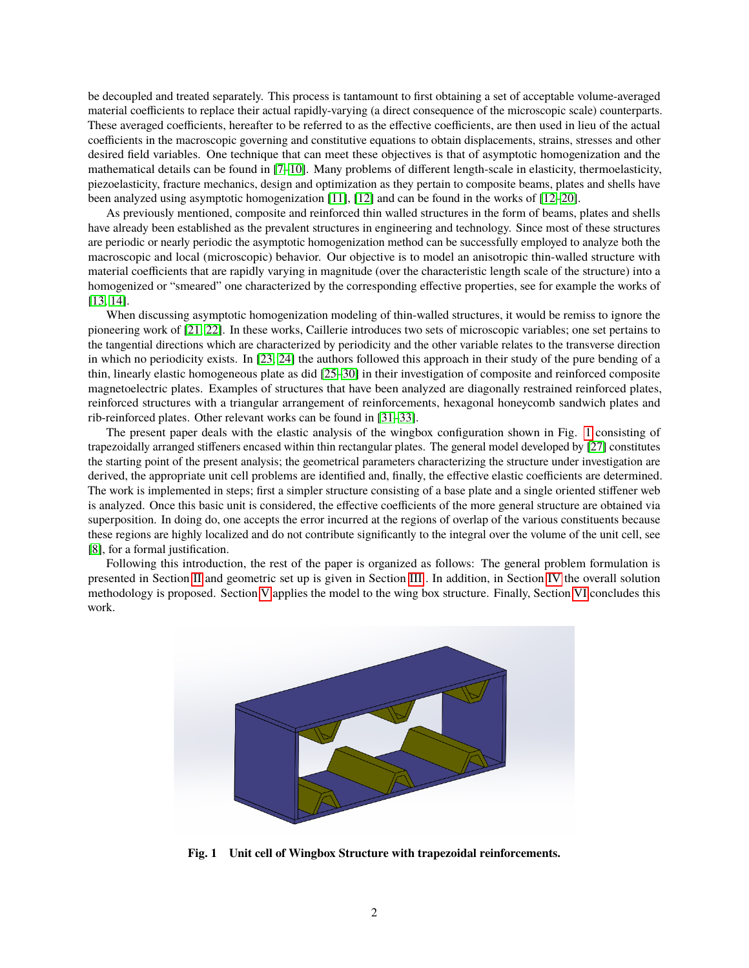be decoupled and treated separately. This process is tantamount to first obtaining a set of acceptable volume-averaged material coefficients to replace their actual rapidly-varying (a direct consequence of the microscopic scale) counterparts. These averaged coefficients, hereafter to be referred to as the effective coefficients, are then used in lieu of the actual coefficients in the macroscopic governing and constitutive equations to obtain displacements, strains, stresses and other desired field variables. One technique that can meet these objectives is that of asymptotic homogenization and the mathematical details can be found in [\[7–](#page-14-2)[10\]](#page-14-3). Many problems of different length-scale in elasticity, thermoelasticity, piezoelasticity, fracture mechanics, design and optimization as they pertain to composite beams, plates and shells have been analyzed using asymptotic homogenization [\[11\]](#page-14-4), [\[12\]](#page-14-5) and can be found in the works of [\[12](#page-14-5)[–20\]](#page-14-6).

As previously mentioned, composite and reinforced thin walled structures in the form of beams, plates and shells have already been established as the prevalent structures in engineering and technology. Since most of these structures are periodic or nearly periodic the asymptotic homogenization method can be successfully employed to analyze both the macroscopic and local (microscopic) behavior. Our objective is to model an anisotropic thin-walled structure with material coefficients that are rapidly varying in magnitude (over the characteristic length scale of the structure) into a homogenized or "smeared" one characterized by the corresponding effective properties, see for example the works of [\[13,](#page-14-7) [14\]](#page-14-8).

When discussing asymptotic homogenization modeling of thin-walled structures, it would be remiss to ignore the pioneering work of [\[21,](#page-14-9) [22\]](#page-14-10). In these works, Caillerie introduces two sets of microscopic variables; one set pertains to the tangential directions which are characterized by periodicity and the other variable relates to the transverse direction in which no periodicity exists. In [\[23,](#page-14-11) [24\]](#page-14-12) the authors followed this approach in their study of the pure bending of a thin, linearly elastic homogeneous plate as did [\[25](#page-15-0)[–30\]](#page-15-1) in their investigation of composite and reinforced composite magnetoelectric plates. Examples of structures that have been analyzed are diagonally restrained reinforced plates, reinforced structures with a triangular arrangement of reinforcements, hexagonal honeycomb sandwich plates and rib-reinforced plates. Other relevant works can be found in [\[31–](#page-15-2)[33\]](#page-15-3).

The present paper deals with the elastic analysis of the wingbox configuration shown in Fig. [1](#page-2-0) consisting of trapezoidally arranged stiffeners encased within thin rectangular plates. The general model developed by [\[27\]](#page-15-4) constitutes the starting point of the present analysis; the geometrical parameters characterizing the structure under investigation are derived, the appropriate unit cell problems are identified and, finally, the effective elastic coefficients are determined. The work is implemented in steps; first a simpler structure consisting of a base plate and a single oriented stiffener web is analyzed. Once this basic unit is considered, the effective coefficients of the more general structure are obtained via superposition. In doing do, one accepts the error incurred at the regions of overlap of the various constituents because these regions are highly localized and do not contribute significantly to the integral over the volume of the unit cell, see [\[8\]](#page-14-13), for a formal justification.

<span id="page-2-0"></span>Following this introduction, the rest of the paper is organized as follows: The general problem formulation is presented in Section [II](#page-3-0) and geometric set up is given in Section [III](#page-5-0) . In addition, in Section [IV](#page-6-0) the overall solution methodology is proposed. Section [V](#page-7-0) applies the model to the wing box structure. Finally, Section [VI](#page-9-0) concludes this work.



**Fig. 1 Unit cell of Wingbox Structure with trapezoidal reinforcements.**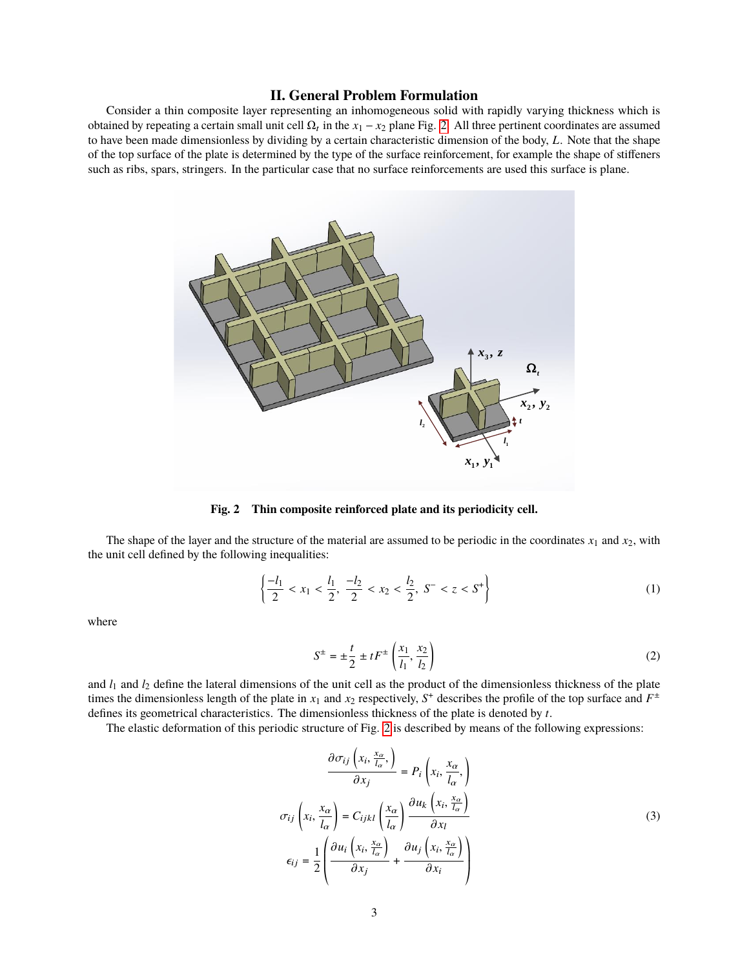## **II. General Problem Formulation**

<span id="page-3-0"></span>Consider a thin composite layer representing an inhomogeneous solid with rapidly varying thickness which is obtained by repeating a certain small unit cell  $\Omega_t$  in the  $x_1 - x_2$  plane Fig. [2.](#page-3-1) All three pertinent coordinates are assumed to have been made dimensionless by dividing by a certain characteristic dimension of the body, *L*. Note that the shape of the top surface of the plate is determined by the type of the surface reinforcement, for example the shape of stiffeners such as ribs, spars, stringers. In the particular case that no surface reinforcements are used this surface is plane.

<span id="page-3-1"></span>

**Fig. 2 Thin composite reinforced plate and its periodicity cell.**

The shape of the layer and the structure of the material are assumed to be periodic in the coordinates  $x_1$  and  $x_2$ , with the unit cell defined by the following inequalities:

$$
\left\{ \frac{-l_1}{2} < x_1 < \frac{l_1}{2}, \ \frac{-l_2}{2} < x_2 < \frac{l_2}{2}, \ S^- < z < S^+ \right\} \tag{1}
$$

where

$$
S^{\pm} = \pm \frac{t}{2} \pm t F^{\pm} \left( \frac{x_1}{l_1}, \frac{x_2}{l_2} \right)
$$
 (2)

and  $l_1$  and  $l_2$  define the lateral dimensions of the unit cell as the product of the dimensionless thickness of the plate times the dimensionless length of the plate in  $x_1$  and  $x_2$  respectively,  $S^+$  describes the profile of the top surface and  $F^{\pm}$ defines its geometrical characteristics. The dimensionless thickness of the plate is denoted by *t*.

The elastic deformation of this periodic structure of Fig. [2](#page-3-1) is described by means of the following expressions:

<span id="page-3-2"></span>
$$
\frac{\partial \sigma_{ij} \left( x_i, \frac{x_\alpha}{l_\alpha}, \right)}{\partial x_j} = P_i \left( x_i, \frac{x_\alpha}{l_\alpha}, \right)
$$
\n
$$
\sigma_{ij} \left( x_i, \frac{x_\alpha}{l_\alpha} \right) = C_{ijkl} \left( \frac{x_\alpha}{l_\alpha} \right) \frac{\partial u_k \left( x_i, \frac{x_\alpha}{l_\alpha} \right)}{\partial x_l}
$$
\n
$$
\epsilon_{ij} = \frac{1}{2} \left( \frac{\partial u_i \left( x_i, \frac{x_\alpha}{l_\alpha} \right)}{\partial x_j} + \frac{\partial u_j \left( x_i, \frac{x_\alpha}{l_\alpha} \right)}{\partial x_i} \right)
$$
\n(3)

 $^{\prime}$ 

«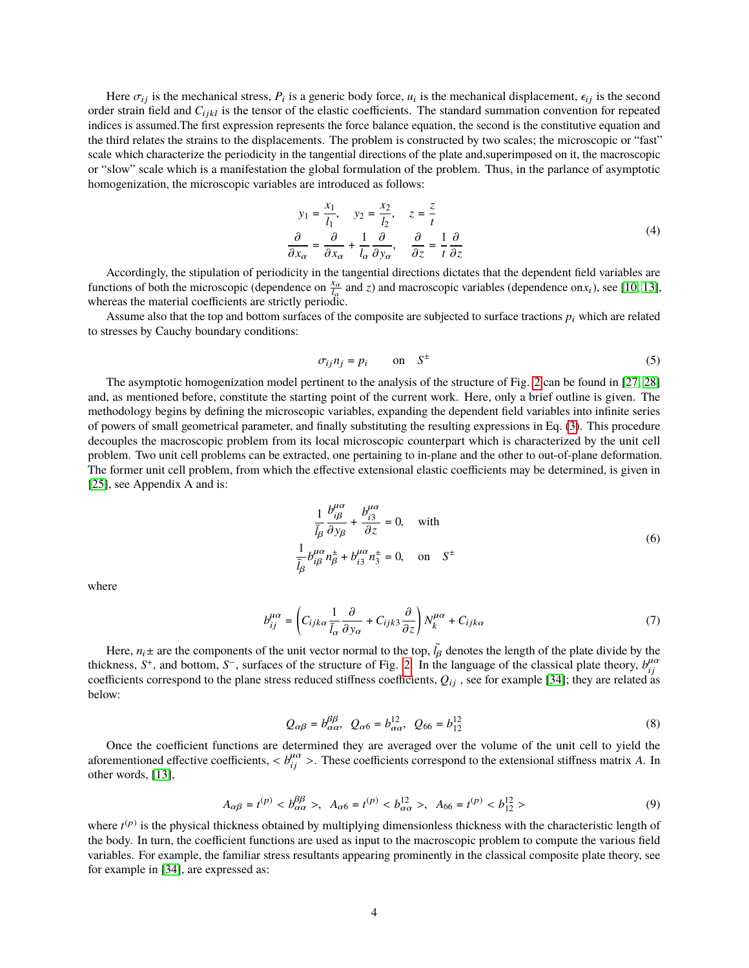Here  $\sigma_{ij}$  is the mechanical stress,  $P_i$  is a generic body force,  $u_i$  is the mechanical displacement,  $\epsilon_{ij}$  is the second<br>existing field and  $C_{ij}$  is the tensor of the elastic coefficients. The standard summation c order strain field and  $C_{i i k l}$  is the tensor of the elastic coefficients. The standard summation convention for repeated indices is assumed.The first expression represents the force balance equation, the second is the constitutive equation and the third relates the strains to the displacements. The problem is constructed by two scales; the microscopic or "fast" scale which characterize the periodicity in the tangential directions of the plate and,superimposed on it, the macroscopic or "slow" scale which is a manifestation the global formulation of the problem. Thus, in the parlance of asymptotic homogenization, the microscopic variables are introduced as follows:

<span id="page-4-2"></span>
$$
y_1 = \frac{x_1}{l_1}, \quad y_2 = \frac{x_2}{l_2}, \quad z = \frac{z}{t}
$$
  

$$
\frac{\partial}{\partial x_\alpha} = \frac{\partial}{\partial x_\alpha} + \frac{1}{l_\alpha} \frac{\partial}{\partial y_\alpha}, \quad \frac{\partial}{\partial z} = \frac{1}{t} \frac{\partial}{\partial z}
$$
 (4)

Accordingly, the stipulation of periodicity in the tangential directions dictates that the dependent field variables are functions of both the microscopic (dependence on  $\frac{x_{\alpha}}{l_{\alpha}}$  and *z*) and macroscopic variables (dependence on*x<sub>i</sub>*), see [\[10,](#page-14-3) [13\]](#page-14-7), rancions of both the interestion (dependence on  $\frac{1}{l_a}$  whereas the material coefficients are strictly periodic.

Assume also that the top and bottom surfaces of the composite are subjected to surface tractions  $p_i$  which are related to stresses by Cauchy boundary conditions:

<span id="page-4-3"></span>
$$
\sigma_{ij} n_j = p_i \qquad \text{on} \quad S^{\pm} \tag{5}
$$

The asymptotic homogenization model pertinent to the analysis of the structure of Fig. [2](#page-3-1) can be found in [\[27,](#page-15-4) [28\]](#page-15-5) and, as mentioned before, constitute the starting point of the current work. Here, only a brief outline is given. The methodology begins by defining the microscopic variables, expanding the dependent field variables into infinite series of powers of small geometrical parameter, and finally substituting the resulting expressions in Eq. [\(3\)](#page-3-2). This procedure decouples the macroscopic problem from its local microscopic counterpart which is characterized by the unit cell problem. Two unit cell problems can be extracted, one pertaining to in-plane and the other to out-of-plane deformation. The former unit cell problem, from which the effective extensional elastic coefficients may be determined, is given in [\[25\]](#page-15-0), see Appendix A and is:

<span id="page-4-0"></span>
$$
\frac{1}{\bar{l}_{\beta}} \frac{b_{i\beta}^{\mu\alpha}}{\partial y_{\beta}} + \frac{b_{i3}^{\mu\alpha}}{\partial z} = 0, \text{ with}
$$
\n
$$
\frac{1}{\bar{l}_{\beta}} b_{i\beta}^{\mu\alpha} n_{\beta}^{\pm} + b_{i3}^{\mu\alpha} n_{3}^{\pm} = 0, \text{ on } S^{\pm}
$$
\n(6)

where

<span id="page-4-1"></span>
$$
b_{ij}^{\mu\alpha} = \left( C_{ijk\alpha} \frac{1}{\bar{l}_{\alpha}} \frac{\partial}{\partial y_{\alpha}} + C_{ijk3} \frac{\partial}{\partial z} \right) N_{k}^{\mu\alpha} + C_{ijk\alpha} \tag{7}
$$

Here,  $n_i \pm$  are the components of the unit vector normal to the top,  $l_\beta$  denotes the length of the plate divide by the thickness,  $S^+$ , and bottom,  $S^-$ , surfaces of the structure of Fig. [2.](#page-3-1) In the language of the classical plate theory,  $b_{ij}^{\mu\alpha}$ coefficients correspond to the plane stress reduced stiffness coefficients,  $Q_{ij}$ , see for example [\[34\]](#page-15-6); they are related as below:

$$
Q_{\alpha\beta} = b_{\alpha\alpha}^{\beta\beta}, \quad Q_{\alpha 6} = b_{\alpha\alpha}^{12}, \quad Q_{66} = b_{12}^{12} \tag{8}
$$

Once the coefficient functions are determined they are averaged over the volume of the unit cell to yield the aforementioned effective coefficients,  $\langle b_{ij}^{\mu\alpha} \rangle$ . These coefficients correspond to the extensional stiffness matrix *A*. In other words [13] other words, [\[13\]](#page-14-7),

$$
A_{\alpha\beta} = t^{(p)} < b_{\alpha\alpha}^{\beta\beta} > , \quad A_{\alpha 6} = t^{(p)} < b_{\alpha\alpha}^{12} > , \quad A_{66} = t^{(p)} < b_{12}^{12} > \tag{9}
$$

where  $t^{(p)}$  is the physical thickness obtained by multiplying dimensionless thickness with the characteristic length of the body. In turn, the coefficient functions are used as input to the macroscopic problem to compute the various field variables. For example, the familiar stress resultants appearing prominently in the classical composite plate theory, see for example in [\[34\]](#page-15-6), are expressed as: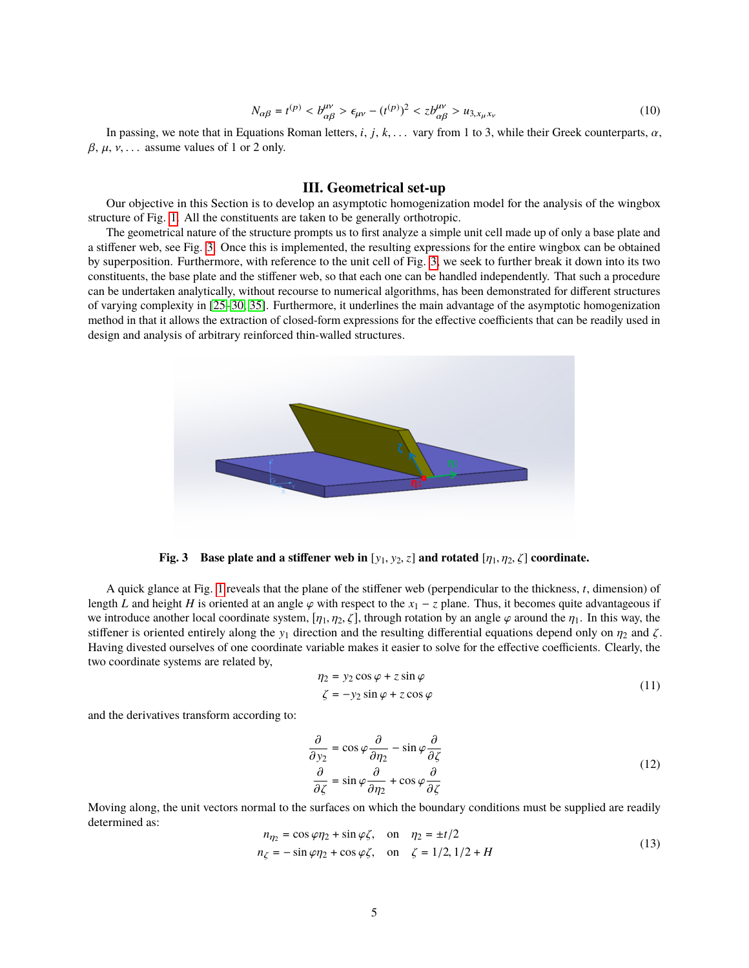$$
N_{\alpha\beta} = t^{(p)} < b_{\alpha\beta}^{\mu\nu} > \epsilon_{\mu\nu} - (t^{(p)})^2 < z b_{\alpha\beta}^{\mu\nu} > u_{3,x_\mu x_\nu} \tag{10}
$$

<span id="page-5-0"></span>In passing, we note that in Equations Roman letters, *i*, *j*, *k*, . . . vary from 1 to 3, while their Greek counterparts,  $\alpha$ ,  $\beta$ ,  $\mu$ ,  $\nu$ , ... assume values of 1 or 2 only.

# **III. Geometrical set-up**

Our objective in this Section is to develop an asymptotic homogenization model for the analysis of the wingbox structure of Fig. [1.](#page-2-0) All the constituents are taken to be generally orthotropic.

The geometrical nature of the structure prompts us to first analyze a simple unit cell made up of only a base plate and a stiffener web, see Fig. [3.](#page-5-1) Once this is implemented, the resulting expressions for the entire wingbox can be obtained by superposition. Furthermore, with reference to the unit cell of Fig. [3,](#page-5-1) we seek to further break it down into its two constituents, the base plate and the stiffener web, so that each one can be handled independently. That such a procedure can be undertaken analytically, without recourse to numerical algorithms, has been demonstrated for different structures of varying complexity in [\[25](#page-15-0)[–30,](#page-15-1) [35\]](#page-15-7). Furthermore, it underlines the main advantage of the asymptotic homogenization method in that it allows the extraction of closed-form expressions for the effective coefficients that can be readily used in design and analysis of arbitrary reinforced thin-walled structures.

<span id="page-5-1"></span>

**Fig. 3** Base plate and a stiffener web in [y<sub>1</sub>, y<sub>2</sub>, z] and rotated [ $\eta$ <sub>1</sub>,  $\eta$ <sub>2</sub>,  $\zeta$ ] coordinate.

A quick glance at Fig. [1](#page-2-0) reveals that the plane of the stiffener web (perpendicular to the thickness, *t*, dimension) of length *L* and height *H* is oriented at an angle  $\varphi$  with respect to the  $x_1 - z$  plane. Thus, it becomes quite advantageous if we introduce another local coordinate system,  $[\eta_1, \eta_2, \zeta]$ , through rotation by an angle  $\varphi$  around the  $\eta_1$ . In this way, the stiffener is oriented entirely along the  $y_1$  direction and the resulting differential equations depend only on  $\eta_2$  and  $\zeta$ . Having divested ourselves of one coordinate variable makes it easier to solve for the effective coefficients. Clearly, the two coordinate systems are related by,

<span id="page-5-2"></span>
$$
\eta_2 = y_2 \cos \varphi + z \sin \varphi \n\zeta = -y_2 \sin \varphi + z \cos \varphi
$$
\n(11)

and the derivatives transform according to:

$$
\frac{\partial}{\partial y_2} = \cos \varphi \frac{\partial}{\partial \eta_2} - \sin \varphi \frac{\partial}{\partial \zeta}
$$
\n
$$
\frac{\partial}{\partial \zeta} = \sin \varphi \frac{\partial}{\partial \eta_2} + \cos \varphi \frac{\partial}{\partial \zeta}
$$
\n(12)

Moving along, the unit vectors normal to the surfaces on which the boundary conditions must be supplied are readily determined as:

$$
n_{\eta_2} = \cos \varphi \eta_2 + \sin \varphi \zeta, \quad \text{on} \quad \eta_2 = \pm t/2
$$
  
\n
$$
n_{\zeta} = -\sin \varphi \eta_2 + \cos \varphi \zeta, \quad \text{on} \quad \zeta = 1/2, 1/2 + H
$$
\n(13)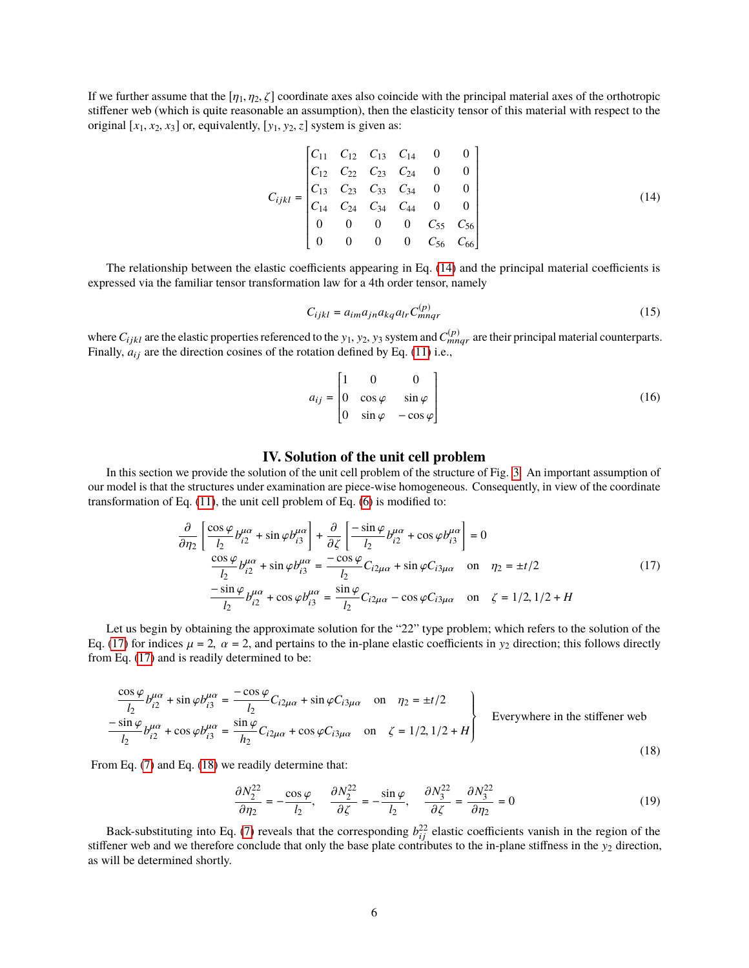If we further assume that the  $[\eta_1, \eta_2, \zeta]$  coordinate axes also coincide with the principal material axes of the orthotropic stiffener web (which is quite reasonable an assumption), then the elasticity tensor of this material with respect to the original  $[x_1, x_2, x_3]$  or, equivalently,  $[y_1, y_2, z]$  system is given as:

<span id="page-6-1"></span>
$$
C_{ijkl} = \begin{bmatrix} C_{11} & C_{12} & C_{13} & C_{14} & 0 & 0 \\ C_{12} & C_{22} & C_{23} & C_{24} & 0 & 0 \\ C_{13} & C_{23} & C_{33} & C_{34} & 0 & 0 \\ C_{14} & C_{24} & C_{34} & C_{44} & 0 & 0 \\ 0 & 0 & 0 & 0 & C_{55} & C_{56} \\ 0 & 0 & 0 & 0 & C_{56} & C_{66} \end{bmatrix}
$$
(14)

The relationship between the elastic coefficients appearing in Eq. [\(14\)](#page-6-1) and the principal material coefficients is expressed via the familiar tensor transformation law for a 4th order tensor, namely

Ī

$$
C_{ijkl} = a_{im}a_{jn}a_{kq}a_{lr}C^{(p)}_{m nqr}
$$
\n(15)

Í

where  $C_{ijkl}$  are the elastic properties referenced to the y<sub>1</sub>, y<sub>2</sub>, y<sub>3</sub> system and  $C_{m n q r}^{(p)}$  are their principal material counterparts.<br>Finally  $a_{ij}$  are the direction cosines of the rotation defined by Eq. (11) i Finally,  $a_{ij}$  are the direction cosines of the rotation defined by Eq. [\(11\)](#page-5-2) i.e.,

$$
a_{ij} = \begin{bmatrix} 1 & 0 & 0 \\ 0 & \cos \varphi & \sin \varphi \\ 0 & \sin \varphi & -\cos \varphi \end{bmatrix}
$$
 (16)

#### **IV. Solution of the unit cell problem**

<span id="page-6-0"></span>In this section we provide the solution of the unit cell problem of the structure of Fig. [3.](#page-5-1) An important assumption of our model is that the structures under examination are piece-wise homogeneous. Consequently, in view of the coordinate transformation of Eq. [\(11\)](#page-5-2), the unit cell problem of Eq. [\(6\)](#page-4-0) is modified to:

<span id="page-6-2"></span>
$$
\frac{\partial}{\partial \eta_2} \left[ \frac{\cos \varphi}{l_2} b_{i2}^{\mu \alpha} + \sin \varphi b_{i3}^{\mu \alpha} \right] + \frac{\partial}{\partial \zeta} \left[ \frac{-\sin \varphi}{l_2} b_{i2}^{\mu \alpha} + \cos \varphi b_{i3}^{\mu \alpha} \right] = 0
$$
\n
$$
\frac{\cos \varphi}{l_2} b_{i2}^{\mu \alpha} + \sin \varphi b_{i3}^{\mu \alpha} = \frac{-\cos \varphi}{l_2} C_{i2\mu\alpha} + \sin \varphi C_{i3\mu\alpha} \quad \text{on} \quad \eta_2 = \pm t/2
$$
\n
$$
\frac{-\sin \varphi}{l_2} b_{i2}^{\mu \alpha} + \cos \varphi b_{i3}^{\mu \alpha} = \frac{\sin \varphi}{l_2} C_{i2\mu\alpha} - \cos \varphi C_{i3\mu\alpha} \quad \text{on} \quad \zeta = 1/2, 1/2 + H
$$
\n(17)

Let us begin by obtaining the approximate solution for the "22" type problem; which refers to the solution of the Eq. [\(17\)](#page-6-2) for indices  $\mu = 2$ ,  $\alpha = 2$ , and pertains to the in-plane elastic coefficients in  $y_2$  direction; this follows directly from Eq. [\(17\)](#page-6-2) and is readily determined to be:

<span id="page-6-3"></span>
$$
\frac{\cos\varphi}{l_2}b_{i2}^{\mu\alpha} + \sin\varphi b_{i3}^{\mu\alpha} = \frac{-\cos\varphi}{l_2}C_{i2\mu\alpha} + \sin\varphi C_{i3\mu\alpha} \quad \text{on} \quad \eta_2 = \pm t/2
$$
\n
$$
\left.\frac{-\sin\varphi}{l_2}b_{i2}^{\mu\alpha} + \cos\varphi b_{i3}^{\mu\alpha} = \frac{\sin\varphi}{h_2}C_{i2\mu\alpha} + \cos\varphi C_{i3\mu\alpha} \quad \text{on} \quad \zeta = 1/2, 1/2 + H\right\}
$$
\nEverywhere in the stiffener web

From Eq. [\(7\)](#page-4-1) and Eq. [\(18\)](#page-6-3) we readily determine that:

$$
\frac{\partial N_2^{22}}{\partial \eta_2} = -\frac{\cos \varphi}{l_2}, \quad \frac{\partial N_2^{22}}{\partial \zeta} = -\frac{\sin \varphi}{l_2}, \quad \frac{\partial N_3^{22}}{\partial \zeta} = \frac{\partial N_3^{22}}{\partial \eta_2} = 0 \tag{19}
$$

Back-substituting into Eq. [\(7\)](#page-4-1) reveals that the corresponding  $b_{ij}^{22}$  elastic coefficients vanish in the region of the stiffener web and we therefore conclude that only the base plate contributes to the in-plane stiffness in the  $y_2$  direction, as will be determined shortly.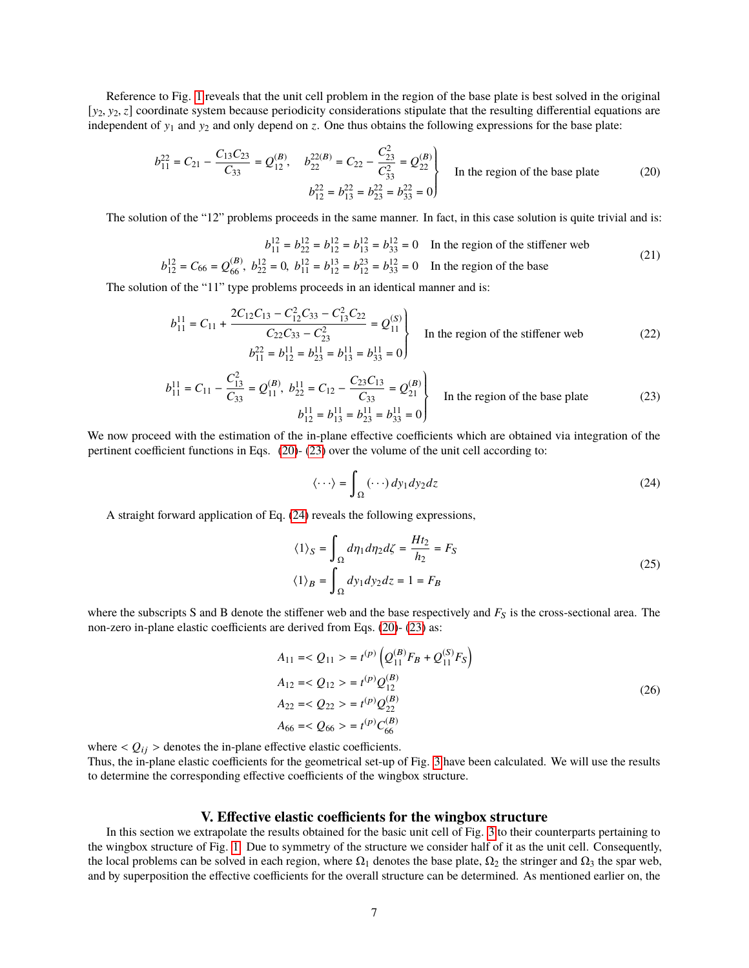Reference to Fig. [1](#page-2-0) reveals that the unit cell problem in the region of the base plate is best solved in the original  $[y_2, y_2, z]$  coordinate system because periodicity considerations stipulate that the resulting differential equations are independent of  $y_1$  and  $y_2$  and only depend on  $z$ . One thus obtains the following expressions for the base plate:

<span id="page-7-1"></span>
$$
b_{11}^{22} = C_{21} - \frac{C_{13}C_{23}}{C_{33}} = Q_{12}^{(B)}, \quad b_{22}^{22(B)} = C_{22} - \frac{C_{23}^2}{C_{33}^2} = Q_{22}^{(B)}
$$
  
\n
$$
b_{12}^{22} = b_{13}^{22} = b_{23}^{22} = b_{33}^{22} = 0
$$
  
\nIn the region of the base plate (20)

The solution of the "12" problems proceeds in the same manner. In fact, in this case solution is quite trivial and is:

$$
b_{11}^{12} = b_{22}^{12} = b_{12}^{12} = b_{13}^{12} = 0
$$
 In the region of the stiffener web  

$$
b_{12}^{12} = C_{66} = Q_{66}^{(B)}, b_{22}^{12} = 0, b_{11}^{12} = b_{12}^{13} = b_{23}^{23} = 0
$$
 In the region of the base (21)

The solution of the "11" type problems proceeds in an identical manner and is:

$$
b_{11}^{11} = C_{11} + \frac{2C_{12}C_{13} - C_{12}^2C_{33} - C_{13}^2C_{22}}{C_{22}C_{33} - C_{23}^2} = Q_{11}^{(S)}
$$
  
\n
$$
b_{11}^{22} = b_{11}^{11} = b_{12}^{11} = b_{13}^{11} = b_{33}^{11} = 0
$$
  
\nIn the region of the stiffener web

<span id="page-7-2"></span>
$$
b_{11}^{11} = C_{11} - \frac{C_{13}^2}{C_{33}} = Q_{11}^{(B)}, \ b_{22}^{11} = C_{12} - \frac{C_{23}C_{13}}{C_{33}} = Q_{21}^{(B)} \}
$$
 In the region of the base plate  

$$
b_{12}^{11} = b_{13}^{11} = b_{23}^{11} = b_{33}^{11} = 0
$$
 (23)

We now proceed with the estimation of the in-plane effective coefficients which are obtained via integration of the pertinent coefficient functions in Eqs. [\(20\)](#page-7-1)- [\(23\)](#page-7-2) over the volume of the unit cell according to:

<span id="page-7-3"></span>
$$
\langle \cdots \rangle = \int_{\Omega} (\cdots) \, dy_1 dy_2 dz \tag{24}
$$

A straight forward application of Eq. [\(24\)](#page-7-3) reveals the following expressions,

$$
\langle 1 \rangle_S = \int_{\Omega} d\eta_1 d\eta_2 d\zeta = \frac{Ht_2}{h_2} = F_S
$$
  

$$
\langle 1 \rangle_B = \int_{\Omega} dy_1 dy_2 dz = 1 = F_B
$$
 (25)

where the subscripts S and B denote the stiffener web and the base respectively and  $F_S$  is the cross-sectional area. The non-zero in-plane elastic coefficients are derived from Eqs. [\(20\)](#page-7-1)- [\(23\)](#page-7-2) as:

$$
A_{11} =  = t^{(p)} \left( Q_{11}^{(B)} F_B + Q_{11}^{(S)} F_S \right)
$$
  
\n
$$
A_{12} =  = t^{(p)} Q_{12}^{(B)}
$$
  
\n
$$
A_{22} =  = t^{(p)} Q_{22}^{(B)}
$$
  
\n
$$
A_{66} =  = t^{(p)} C_{66}^{(B)}
$$
\n(26)

where  $\langle Q_{ij} \rangle$  denotes the in-plane effective elastic coefficients.

<span id="page-7-0"></span>Thus, the in-plane elastic coefficients for the geometrical set-up of Fig. [3](#page-5-1) have been calculated. We will use the results to determine the corresponding effective coefficients of the wingbox structure.

### **V. Effective elastic coefficients for the wingbox structure**

In this section we extrapolate the results obtained for the basic unit cell of Fig. [3](#page-5-1) to their counterparts pertaining to the wingbox structure of Fig. [1.](#page-2-0) Due to symmetry of the structure we consider half of it as the unit cell. Consequently, the local problems can be solved in each region, where  $\Omega_1$  denotes the base plate,  $\Omega_2$  the stringer and  $\Omega_3$  the spar web, and by superposition the effective coefficients for the overall structure can be determined. As mentioned earlier on, the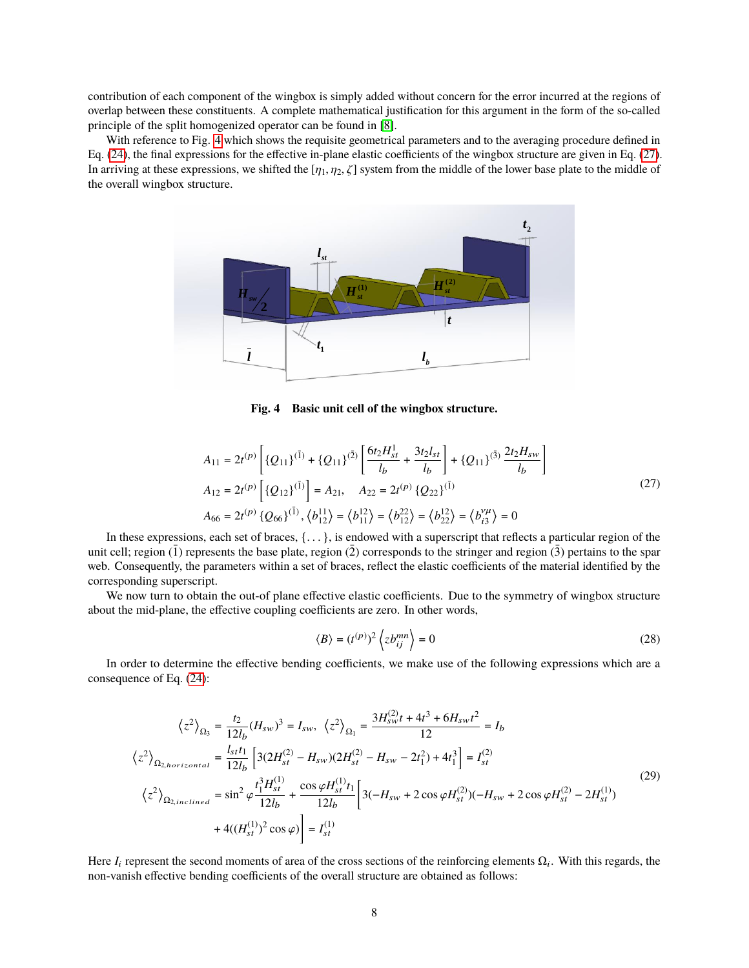contribution of each component of the wingbox is simply added without concern for the error incurred at the regions of overlap between these constituents. A complete mathematical justification for this argument in the form of the so-called principle of the split homogenized operator can be found in [\[8\]](#page-14-13).

<span id="page-8-0"></span>With reference to Fig. [4](#page-8-0) which shows the requisite geometrical parameters and to the averaging procedure defined in Eq. [\(24\)](#page-7-3), the final expressions for the effective in-plane elastic coefficients of the wingbox structure are given in Eq. [\(27\)](#page-8-1). In arriving at these expressions, we shifted the  $[\eta_1, \eta_2, \zeta]$  system from the middle of the lower base plate to the middle of the overall wingbox structure.



**Fig. 4 Basic unit cell of the wingbox structure.**

<span id="page-8-1"></span>
$$
A_{11} = 2t^{(p)} \left[ \{Q_{11}\}^{(\bar{1})} + \{Q_{11}\}^{(\bar{2})} \left[ \frac{6t_2 H_{st}^1}{l_b} + \frac{3t_2 l_{st}}{l_b} \right] + \{Q_{11}\}^{(\bar{3})} \frac{2t_2 H_{sw}}{l_b} \right]
$$
  
\n
$$
A_{12} = 2t^{(p)} \left[ \{Q_{12}\}^{(\bar{1})} \right] = A_{21}, \quad A_{22} = 2t^{(p)} \{Q_{22}\}^{(\bar{1})}
$$
  
\n
$$
A_{66} = 2t^{(p)} \{Q_{66}\}^{(\bar{1})}, \langle b_{12}^{11} \rangle = \langle b_{11}^{12} \rangle = \langle b_{12}^{22} \rangle = \langle b_{22}^{12} \rangle = \langle b_{i3}^{1} \rangle = 0
$$
\n(27)

In these expressions, each set of braces,  $\{\ldots\}$ , is endowed with a superscript that reflects a particular region of the collision ( $\bar{1}$ ) represents the base plate region ( $\bar{2}$ ) corresponds to the stringer and reg unit cell; region  $(\overline{1})$  represents the base plate, region  $(\overline{2})$  corresponds to the stringer and region  $(\overline{3})$  pertains to the spar web. Consequently, the parameters within a set of braces, reflect the elastic coefficients of the material identified by the corresponding superscript.

We now turn to obtain the out-of plane effective elastic coefficients. Due to the symmetry of wingbox structure about the mid-plane, the effective coupling coefficients are zero. In other words,

$$
\langle B \rangle = (t^{(p)})^2 \left\langle z b_{ij}^{mn} \right\rangle = 0 \tag{28}
$$

In order to determine the effective bending coefficients, we make use of the following expressions which are a consequence of Eq. [\(24\)](#page-7-3):

$$
\langle z^{2} \rangle_{\Omega_{3}} = \frac{t_{2}}{12l_{b}} (H_{sw})^{3} = I_{sw}, \ \langle z^{2} \rangle_{\Omega_{1}} = \frac{3H_{sw}^{(2)}t + 4t^{3} + 6H_{sw}t^{2}}{12} = I_{b}
$$
\n
$$
\langle z^{2} \rangle_{\Omega_{2, horizontal}} = \frac{l_{st}t_{1}}{12l_{b}} \left[ 3(2H_{st}^{(2)} - H_{sw})(2H_{st}^{(2)} - H_{sw} - 2t_{1}^{2}) + 4t_{1}^{3} \right] = I_{st}^{(2)}
$$
\n
$$
\langle z^{2} \rangle_{\Omega_{2, inclined}} = \sin^{2} \varphi \frac{t_{1}^{3}H_{st}^{(1)}}{12l_{b}} + \frac{\cos \varphi H_{st}^{(1)}t_{1}}{12l_{b}} \left[ 3(-H_{sw} + 2\cos \varphi H_{st}^{(2)})(-H_{sw} + 2\cos \varphi H_{st}^{(2)} - 2H_{st}^{(1)}) + 4((H_{st}^{(1)})^{2}\cos \varphi) \right] = I_{st}^{(1)}
$$
\n(29)

Here  $I_i$  represent the second moments of area of the cross sections of the reinforcing elements  $\Omega_i$ . With this regards, the non-vanish effective bending coefficients of the overall structure are obtained as follows: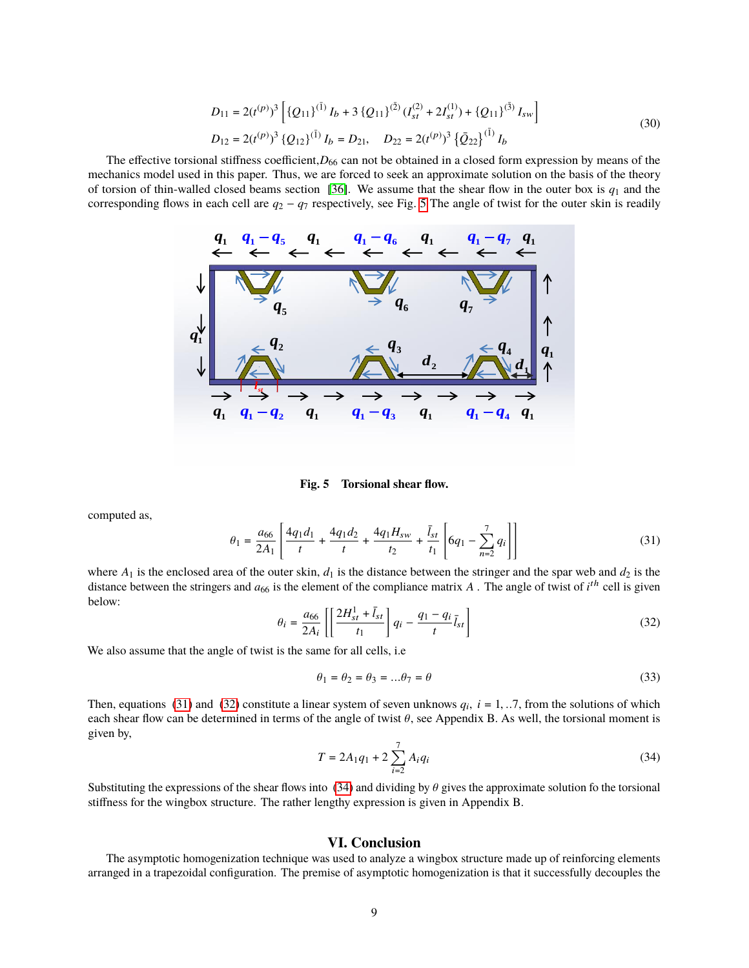$$
D_{11} = 2(t^{(p)})^3 \left[ \{ Q_{11} \}^{(\bar{1})} I_b + 3 \{ Q_{11} \}^{(\bar{2})} (I_{st}^{(2)} + 2I_{st}^{(1)}) + \{ Q_{11} \}^{(\bar{3})} I_{sw} \right]
$$
  
\n
$$
D_{12} = 2(t^{(p)})^3 \{ Q_{12} \}^{(\bar{1})} I_b = D_{21}, \quad D_{22} = 2(t^{(p)})^3 \{ \bar{Q}_{22} \}^{(\bar{1})} I_b
$$
\n(30)

<span id="page-9-1"></span>The effective torsional stiffness coefficient, $D_{66}$  can not be obtained in a closed form expression by means of the mechanics model used in this paper. Thus, we are forced to seek an approximate solution on the basis of the theory of torsion of thin-walled closed beams section [\[36\]](#page-15-8). We assume that the shear flow in the outer box is  $q_1$  and the corresponding flows in each cell are  $q_2 - q_7$  respectively, see Fig. [5](#page-9-1) The angle of twist for the outer skin is readily



**Fig. 5 Torsional shear flow.**

computed as,

<span id="page-9-2"></span>
$$
\theta_1 = \frac{a_{66}}{2A_1} \left[ \frac{4q_1 d_1}{t} + \frac{4q_1 d_2}{t} + \frac{4q_1 H_{sw}}{t_2} + \frac{\bar{l}_{st}}{t_1} \left[ 6q_1 - \sum_{n=2}^7 q_i \right] \right]
$$
(31)

where  $A_1$  is the enclosed area of the outer skin,  $d_1$  is the distance between the stringer and the spar web and  $d_2$  is the distance between the stringers and  $a_{66}$  is the element of the compliance matrix  $A$ . The angle of twist of  $i^{th}$  cell is given below:

<span id="page-9-3"></span>
$$
\theta_i = \frac{a_{66}}{2A_i} \left[ \left[ \frac{2H_{st}^1 + \bar{l}_{st}}{t_1} \right] q_i - \frac{q_1 - q_i}{t} \bar{l}_{st} \right]
$$
(32)

We also assume that the angle of twist is the same for all cells, i.e

$$
\theta_1 = \theta_2 = \theta_3 = \dots \theta_7 = \theta \tag{33}
$$

Then, equations [\(31\)](#page-9-2) and [\(32\)](#page-9-3) constitute a linear system of seven unknows  $q_i$ ,  $i = 1, ...7$ , from the solutions of which each shear flow can be determined in terms of the angle of twist  $\theta$ , see Appendix B. As well, the to each shear flow can be determined in terms of the angle of twist  $\theta$ , see Appendix B. As well, the torsional moment is given by,

<span id="page-9-4"></span>
$$
T = 2A_1q_1 + 2\sum_{i=2}^{7} A_iq_i
$$
 (34)

<span id="page-9-0"></span>Substituting the expressions of the shear flows into [\(34\)](#page-9-4) and dividing by  $\theta$  gives the approximate solution fo the torsional stiffness for the wingbox structure. The rather lengthy expression is given in Appendix B.

## **VI. Conclusion**

The asymptotic homogenization technique was used to analyze a wingbox structure made up of reinforcing elements arranged in a trapezoidal configuration. The premise of asymptotic homogenization is that it successfully decouples the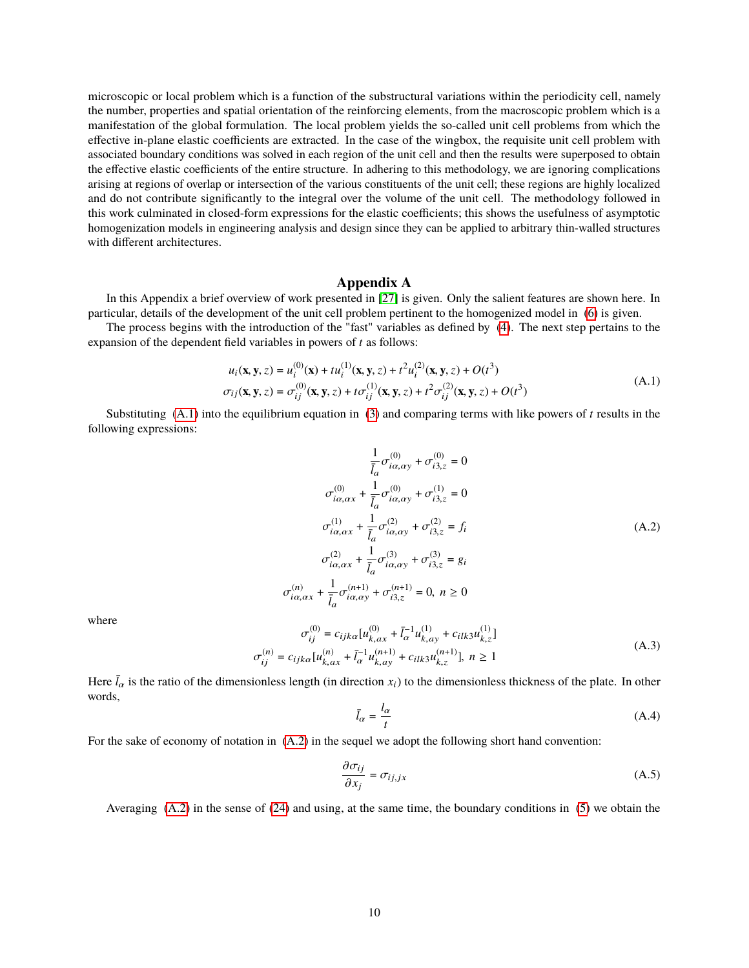microscopic or local problem which is a function of the substructural variations within the periodicity cell, namely the number, properties and spatial orientation of the reinforcing elements, from the macroscopic problem which is a manifestation of the global formulation. The local problem yields the so-called unit cell problems from which the effective in-plane elastic coefficients are extracted. In the case of the wingbox, the requisite unit cell problem with associated boundary conditions was solved in each region of the unit cell and then the results were superposed to obtain the effective elastic coefficients of the entire structure. In adhering to this methodology, we are ignoring complications arising at regions of overlap or intersection of the various constituents of the unit cell; these regions are highly localized and do not contribute significantly to the integral over the volume of the unit cell. The methodology followed in this work culminated in closed-form expressions for the elastic coefficients; this shows the usefulness of asymptotic homogenization models in engineering analysis and design since they can be applied to arbitrary thin-walled structures with different architectures.

### **Appendix A**

In this Appendix a brief overview of work presented in [\[27\]](#page-15-4) is given. Only the salient features are shown here. In particular, details of the development of the unit cell problem pertinent to the homogenized model in [\(6\)](#page-4-0) is given.

The process begins with the introduction of the "fast" variables as defined by [\(4\)](#page-4-2). The next step pertains to the expansion of the dependent field variables in powers of *t* as follows:

<span id="page-10-0"></span>
$$
u_i(\mathbf{x}, \mathbf{y}, z) = u_i^{(0)}(\mathbf{x}) + tu_i^{(1)}(\mathbf{x}, \mathbf{y}, z) + t^2 u_i^{(2)}(\mathbf{x}, \mathbf{y}, z) + O(t^3)
$$
  
\n
$$
\sigma_{ij}(\mathbf{x}, \mathbf{y}, z) = \sigma_{ij}^{(0)}(\mathbf{x}, \mathbf{y}, z) + t \sigma_{ij}^{(1)}(\mathbf{x}, \mathbf{y}, z) + t^2 \sigma_{ij}^{(2)}(\mathbf{x}, \mathbf{y}, z) + O(t^3)
$$
\n(A.1)

Substituting  $(A.1)$  into the equilibrium equation in  $(3)$  and comparing terms with like powers of *t* results in the following expressions:

<span id="page-10-1"></span>
$$
\frac{1}{\bar{l}_a} \sigma_{i\alpha,\alpha y}^{(0)} + \sigma_{i3,z}^{(0)} = 0
$$
\n
$$
\sigma_{i\alpha,\alpha x}^{(0)} + \frac{1}{\bar{l}_a} \sigma_{i\alpha,\alpha y}^{(0)} + \sigma_{i3,z}^{(1)} = 0
$$
\n
$$
\sigma_{i\alpha,\alpha x}^{(1)} + \frac{1}{\bar{l}_a} \sigma_{i\alpha,\alpha y}^{(2)} + \sigma_{i3,z}^{(2)} = f_i
$$
\n
$$
\sigma_{i\alpha,\alpha x}^{(2)} + \frac{1}{\bar{l}_a} \sigma_{i\alpha,\alpha y}^{(3)} + \sigma_{i3,z}^{(3)} = g_i
$$
\n
$$
\frac{a}{\bar{l}_a} \sigma_{i\alpha,\alpha y}^{(n+1)} + \sigma_{i3,z}^{(n+1)} = 0, \quad n \ge 0
$$
\n(A.2)

where

<span id="page-10-2"></span>
$$
\sigma_{ij}^{(0)} = c_{ijka} [u_{k,ax}^{(0)} + \bar{l}_{\alpha}^{-1} u_{k,ay}^{(1)} + c_{ilk3} u_{k,z}^{(1)}]
$$
\n
$$
\sigma_{ij}^{(n)} = c_{ijka} [u_{k,ax}^{(n)} + \bar{l}_{\alpha}^{-1} u_{k,ay}^{(n+1)} + c_{ilk3} u_{k,z}^{(n+1)}], \ n \ge 1
$$
\n(A.3)

Here  $\bar{l}_{\alpha}$  is the ratio of the dimensionless length (in direction  $x_i$ ) to the dimensionless thickness of the plate. In other words,

$$
\bar{l}_{\alpha} = \frac{l_{\alpha}}{t} \tag{A.4}
$$

For the sake of economy of notation in [\(A.2\)](#page-10-1) in the sequel we adopt the following short hand convention:

σ

$$
\frac{\partial \sigma_{ij}}{\partial x_j} = \sigma_{ij,jx} \tag{A.5}
$$

Averaging [\(A.2\)](#page-10-1) in the sense of [\(24\)](#page-7-3) and using, at the same time, the boundary conditions in [\(5\)](#page-4-3) we obtain the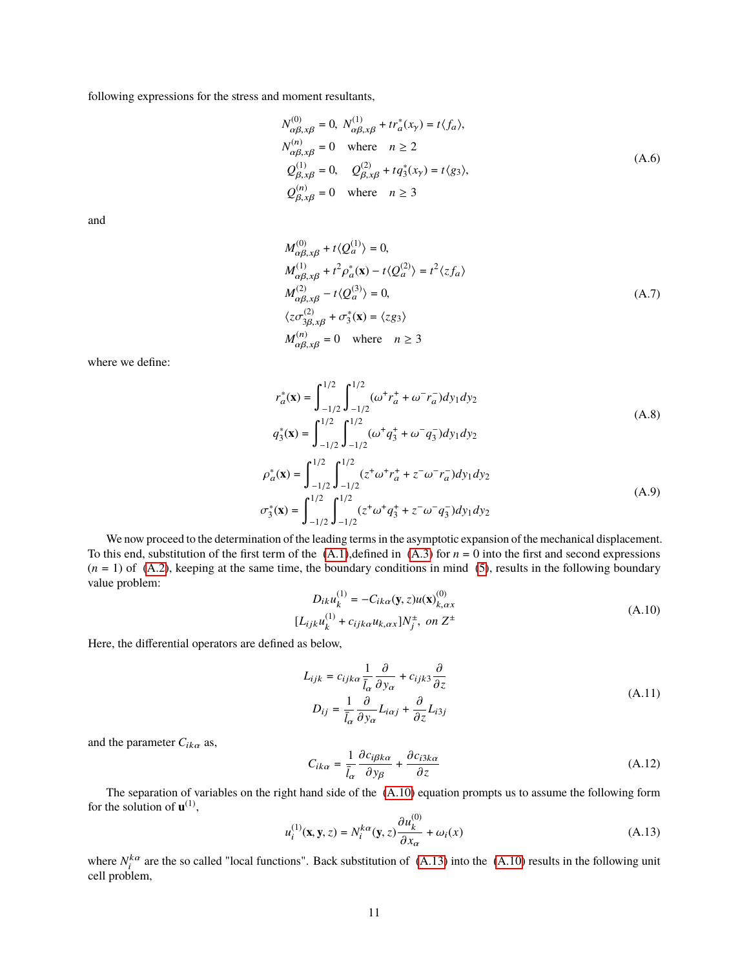following expressions for the stress and moment resultants,

 $(0)$ 

<span id="page-11-2"></span>
$$
N_{\alpha\beta,\chi\beta}^{(0)} = 0, N_{\alpha\beta,\chi\beta}^{(1)} + tr_a^*(x_\gamma) = t \langle f_a \rangle,
$$
  
\n
$$
N_{\alpha\beta,\chi\beta}^{(n)} = 0 \text{ where } n \ge 2
$$
  
\n
$$
Q_{\beta,\chi\beta}^{(1)} = 0, \quad Q_{\beta,\chi\beta}^{(2)} + t q_3^*(x_\gamma) = t \langle g_3 \rangle,
$$
  
\n
$$
Q_{\beta,\chi\beta}^{(n)} = 0 \text{ where } n \ge 3
$$
\n(4.6)

and

$$
M_{\alpha\beta,\kappa\beta}^{(0)} + t \langle Q_a^{(1)} \rangle = 0,
$$
  
\n
$$
M_{\alpha\beta,\kappa\beta}^{(1)} + t^2 \rho_a^*(\mathbf{x}) - t \langle Q_a^{(2)} \rangle = t^2 \langle z f_a \rangle
$$
  
\n
$$
M_{\alpha\beta,\kappa\beta}^{(2)} - t \langle Q_a^{(3)} \rangle = 0,
$$
  
\n
$$
\langle z \sigma_{3\beta,\kappa\beta}^{(2)} + \sigma_3^*(\mathbf{x}) = \langle z g_3 \rangle
$$
  
\n
$$
M_{\alpha\beta,\kappa\beta}^{(n)} = 0 \text{ where } n \ge 3
$$
\n(4.7)

where we define:

$$
r_a^*(\mathbf{x}) = \int_{-1/2}^{1/2} \int_{-1/2}^{1/2} (\omega^+ r_a^+ + \omega^- r_a^-) dy_1 dy_2
$$
  
\n
$$
q_3^*(\mathbf{x}) = \int_{-1/2}^{1/2} \int_{-1/2}^{1/2} (\omega^+ q_3^+ + \omega^- q_3^-) dy_1 dy_2
$$
  
\n
$$
\rho_a^*(\mathbf{x}) = \int_{-1/2}^{1/2} \int_{-1/2}^{1/2} (z^+ \omega^+ r_a^+ + z^- \omega^- r_a^-) dy_1 dy_2
$$
  
\n
$$
\sigma_3^*(\mathbf{x}) = \int_{-1/2}^{1/2} \int_{-1/2}^{1/2} (z^+ \omega^+ q_3^+ + z^- \omega^- q_3^-) dy_1 dy_2
$$
\n(A.9)

We now proceed to the determination of the leading terms in the asymptotic expansion of the mechanical displacement. To this end, substitution of the first term of the  $(A.1)$ , defined in  $(A.3)$  for  $n = 0$  into the first and second expressions  $(n = 1)$  of [\(A.2\)](#page-10-1), keeping at the same time, the boundary conditions in mind [\(5\)](#page-4-3), results in the following boundary value problem:

<span id="page-11-0"></span>
$$
D_{ik}u_k^{(1)} = -C_{ika}(\mathbf{y}, z)u(\mathbf{x})_{k, \alpha x}^{(0)}
$$
  
\n
$$
[L_{ijk}u_k^{(1)} + c_{ijk\alpha}u_{k, \alpha x}]N_j^{\pm}, \text{ on } \mathbb{Z}^{\pm}
$$
\n(A.10)

Here, the differential operators are defined as below,

$$
L_{ijk} = c_{ijk\alpha} \frac{1}{l_{\alpha}} \frac{\partial}{\partial y_{\alpha}} + c_{ijk3} \frac{\partial}{\partial z}
$$
  
\n
$$
D_{ij} = \frac{1}{l_{\alpha}} \frac{\partial}{\partial y_{\alpha}} L_{i\alpha j} + \frac{\partial}{\partial z} L_{i3 j}
$$
\n(A.11)

and the parameter  $C_{ik\alpha}$  as,

$$
C_{ik\alpha} = \frac{1}{\bar{l}_{\alpha}} \frac{\partial c_{i\beta k\alpha}}{\partial y_{\beta}} + \frac{\partial c_{i3k\alpha}}{\partial z}
$$
 (A.12)

The separation of variables on the right hand side of the [\(A.10\)](#page-11-0) equation prompts us to assume the following form for the solution of  $\mathbf{u}^{(1)}$ ,

<span id="page-11-1"></span>
$$
u_i^{(1)}(\mathbf{x}, \mathbf{y}, z) = N_i^{k\alpha}(\mathbf{y}, z) \frac{\partial u_k^{(0)}}{\partial x_{\alpha}} + \omega_i(x)
$$
 (A.13)

where  $N_i^{k\alpha}$  are the so called "local functions". Back substitution of  $(A.13)$  into the  $(A.10)$  results in the following unit cell problem,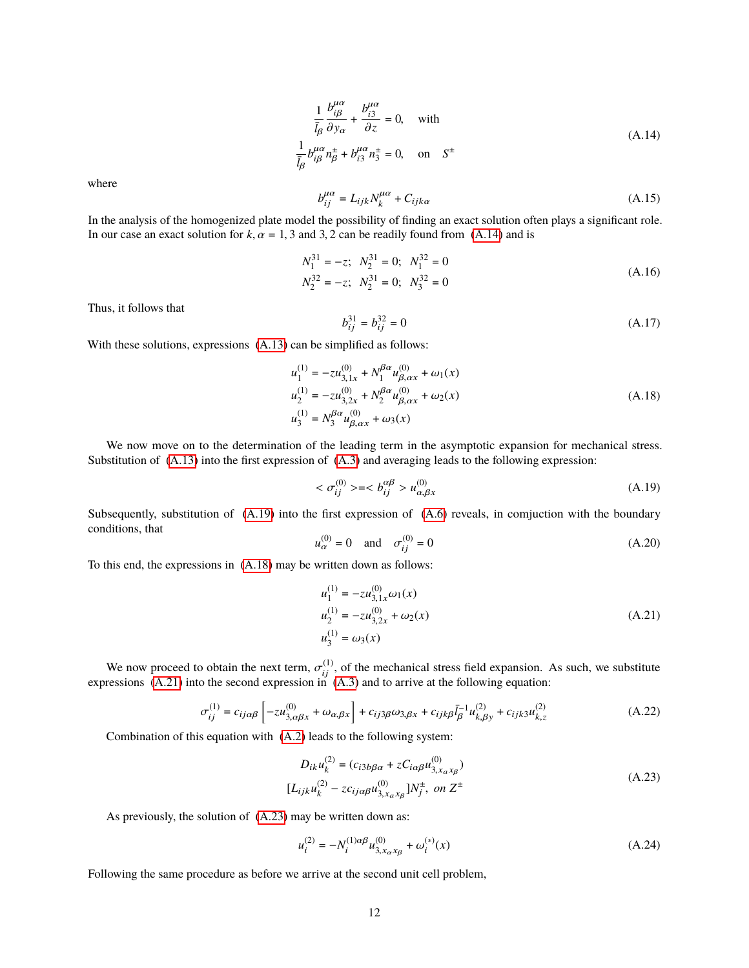<span id="page-12-0"></span>
$$
\frac{1}{\bar{l}_{\beta}} \frac{b_{i\beta}^{\mu\alpha}}{\partial y_{\alpha}} + \frac{b_{i3}^{\mu\alpha}}{\partial z} = 0, \text{ with}
$$
\n
$$
\frac{1}{\bar{l}_{\beta}} b_{i\beta}^{\mu\alpha} n_{\beta}^{\pm} + b_{i3}^{\mu\alpha} n_{3}^{\pm} = 0, \text{ on } S^{\pm}
$$
\n(A.14)

where

$$
b_{ij}^{\mu\alpha} = L_{ijk} N_k^{\mu\alpha} + C_{ijk\alpha}
$$
 (A.15)

In the analysis of the homogenized plate model the possibility of finding an exact solution often plays a significant role. In our case an exact solution for  $k, \alpha = 1, 3$  and 3, 2 can be readily found from [\(A.14\)](#page-12-0) and is

$$
N_1^{31} = -z; \quad N_2^{31} = 0; \quad N_1^{32} = 0
$$
  
\n
$$
N_2^{32} = -z; \quad N_2^{31} = 0; \quad N_3^{32} = 0
$$
\n(A.16)

Thus, it follows that

$$
b_{ij}^{31} = b_{ij}^{32} = 0 \tag{A.17}
$$

With these solutions, expressions [\(A.13\)](#page-11-1) can be simplified as follows:

<span id="page-12-2"></span>
$$
u_1^{(1)} = -z u_{3,1x}^{(0)} + N_1^{\beta \alpha} u_{\beta,\alpha x}^{(0)} + \omega_1(x)
$$
  
\n
$$
u_2^{(1)} = -z u_{3,2x}^{(0)} + N_2^{\beta \alpha} u_{\beta,\alpha x}^{(0)} + \omega_2(x)
$$
  
\n
$$
u_3^{(1)} = N_3^{\beta \alpha} u_{\beta,\alpha x}^{(0)} + \omega_3(x)
$$
\n(A.18)

We now move on to the determination of the leading term in the asymptotic expansion for mechanical stress. Substitution of [\(A.13\)](#page-11-1) into the first expression of [\(A.3\)](#page-10-2) and averaging leads to the following expression:

<span id="page-12-1"></span>
$$
\langle \sigma_{ij}^{(0)} \rangle = \langle b_{ij}^{\alpha \beta} \rangle u_{\alpha, \beta x}^{(0)} \tag{A.19}
$$

Subsequently, substitution of [\(A.19\)](#page-12-1) into the first expression of [\(A.6\)](#page-11-2) reveals, in comjuction with the boundary conditions, that

$$
u_{\alpha}^{(0)} = 0 \quad \text{and} \quad \sigma_{ij}^{(0)} = 0 \tag{A.20}
$$

To this end, the expressions in [\(A.18\)](#page-12-2) may be written down as follows:

<span id="page-12-3"></span>
$$
u_1^{(1)} = -z u_{3,1x}^{(0)} \omega_1(x)
$$
  
\n
$$
u_2^{(1)} = -z u_{3,2x}^{(0)} + \omega_2(x)
$$
  
\n
$$
u_3^{(1)} = \omega_3(x)
$$
\n(A.21)

We now proceed to obtain the next term,  $\sigma_{ij}^{(1)}$ , of the mechanical stress field expansion. As such, we substitute ressions (A 21) into the second expression in (A 3) and to arrive at the following equation: expressions [\(A.21\)](#page-12-3) into the second expression in [\(A.3\)](#page-10-2) and to arrive at the following equation:

$$
\sigma_{ij}^{(1)} = c_{ij\alpha\beta} \left[ -z u_{3,\alpha\beta x}^{(0)} + \omega_{\alpha,\beta x} \right] + c_{ij3\beta} \omega_{3,\beta x} + c_{ijk\beta} \bar{l}_{\beta}^{-1} u_{k,\beta y}^{(2)} + c_{ijk3} u_{k,z}^{(2)} \tag{A.22}
$$

Combination of this equation with [\(A.2\)](#page-10-1) leads to the following system:

<span id="page-12-4"></span>
$$
D_{ik}u_k^{(2)} = (c_{i3b\beta\alpha} + zC_{i\alpha\beta}u_{3,x_\alpha x_\beta}^{(0)})
$$
  
\n
$$
[L_{ijk}u_k^{(2)} - zc_{ij\alpha\beta}u_{3,x_\alpha x_\beta}^{(0)}]N_j^{\pm}, \text{ on } Z^{\pm}
$$
\n(A.23)

As previously, the solution of [\(A.23\)](#page-12-4) may be written down as:

$$
u_i^{(2)} = -N_i^{(1)\alpha\beta} u_{3,x_\alpha x_\beta}^{(0)} + \omega_i^{(*)}(x)
$$
 (A.24)

Following the same procedure as before we arrive at the second unit cell problem,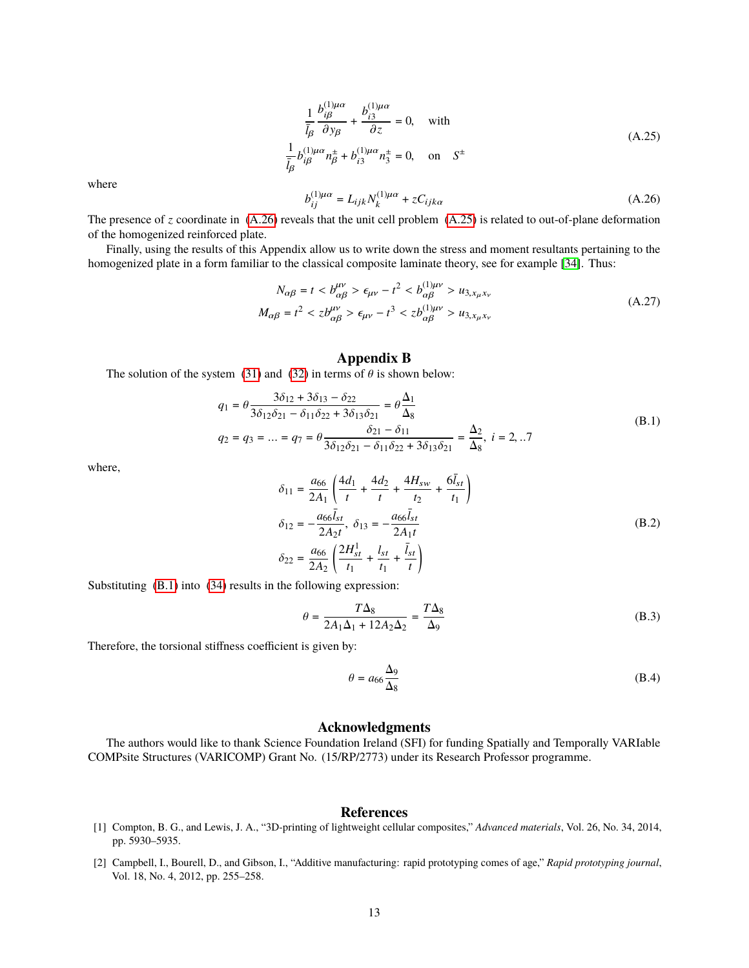<span id="page-13-3"></span>
$$
\frac{1}{\bar{l}_\beta} \frac{b_{i\beta}^{(1)\mu\alpha}}{\partial y_\beta} + \frac{b_{i3}^{(1)\mu\alpha}}{\partial z} = 0, \quad \text{with}
$$
\n
$$
\frac{1}{\bar{l}_\beta} b_{i\beta}^{(1)\mu\alpha} n_\beta^{\pm} + b_{i3}^{(1)\mu\alpha} n_3^{\pm} = 0, \quad \text{on} \quad S^{\pm}
$$
\n(A.25)

where

<span id="page-13-2"></span>
$$
b_{ij}^{(1)\mu\alpha} = L_{ijk} N_k^{(1)\mu\alpha} + z C_{ijk\alpha}
$$
 (A.26)

The presence of *z* coordinate in [\(A.26\)](#page-13-2) reveals that the unit cell problem [\(A.25\)](#page-13-3) is related to out-of-plane deformation of the homogenized reinforced plate.

Finally, using the results of this Appendix allow us to write down the stress and moment resultants pertaining to the homogenized plate in a form familiar to the classical composite laminate theory, see for example [\[34\]](#page-15-6). Thus:

$$
N_{\alpha\beta} = t < b_{\alpha\beta}^{\mu\nu} > \epsilon_{\mu\nu} - t^2 < b_{\alpha\beta}^{(1)\mu\nu} > u_{3,x_\mu x_\nu} M_{\alpha\beta} = t^2 < z b_{\alpha\beta}^{\mu\nu} > \epsilon_{\mu\nu} - t^3 < z b_{\alpha\beta}^{(1)\mu\nu} > u_{3,x_\mu x_\nu}
$$
\n(A.27)

#### **Appendix B**

The solution of the system [\(31\)](#page-9-2) and [\(32\)](#page-9-3) in terms of  $\theta$  is shown below:

$$
q_1 = \theta \frac{3\delta_{12} + 3\delta_{13} - \delta_{22}}{3\delta_{12}\delta_{21} - \delta_{11}\delta_{22} + 3\delta_{13}\delta_{21}} = \theta \frac{\Delta_1}{\Delta_8}
$$
  
\n
$$
q_2 = q_3 = \dots = q_7 = \theta \frac{\delta_{21} - \delta_{11}}{3\delta_{12}\delta_{21} - \delta_{11}\delta_{22} + 3\delta_{13}\delta_{21}} = \frac{\Delta_2}{\Delta_8}, \ i = 2,..7
$$
\n(B.1)

where,

$$
\delta_{11} = \frac{a_{66}}{2A_1} \left( \frac{4d_1}{t} + \frac{4d_2}{t} + \frac{4H_{sw}}{t_2} + \frac{6\bar{l}_{st}}{t_1} \right)
$$
  
\n
$$
\delta_{12} = -\frac{a_{66}\bar{l}_{st}}{2A_2t}, \ \delta_{13} = -\frac{a_{66}\bar{l}_{st}}{2A_1t}
$$
  
\n
$$
\delta_{22} = \frac{a_{66}}{2A_2} \left( \frac{2H_{st}^1}{t_1} + \frac{l_{st}}{t_1} + \frac{\bar{l}_{st}}{t} \right)
$$
\n(B.2)

Substituting [\(B.1\)](#page-10-0) into [\(34\)](#page-9-4) results in the following expression:

$$
\theta = \frac{T\Delta_8}{2A_1\Delta_1 + 12A_2\Delta_2} = \frac{T\Delta_8}{\Delta_9}
$$
(B.3)

Therefore, the torsional stiffness coefficient is given by:

$$
\theta = a_{66} \frac{\Delta_9}{\Delta_8} \tag{B.4}
$$

#### **Acknowledgments**

The authors would like to thank Science Foundation Ireland (SFI) for funding Spatially and Temporally VARIable COMPsite Structures (VARICOMP) Grant No. (15/RP/2773) under its Research Professor programme.

# **References**

- <span id="page-13-0"></span>[1] Compton, B. G., and Lewis, J. A., "3D-printing of lightweight cellular composites," *Advanced materials*, Vol. 26, No. 34, 2014, pp. 5930–5935.
- <span id="page-13-1"></span>[2] Campbell, I., Bourell, D., and Gibson, I., "Additive manufacturing: rapid prototyping comes of age," *Rapid prototyping journal*, Vol. 18, No. 4, 2012, pp. 255–258.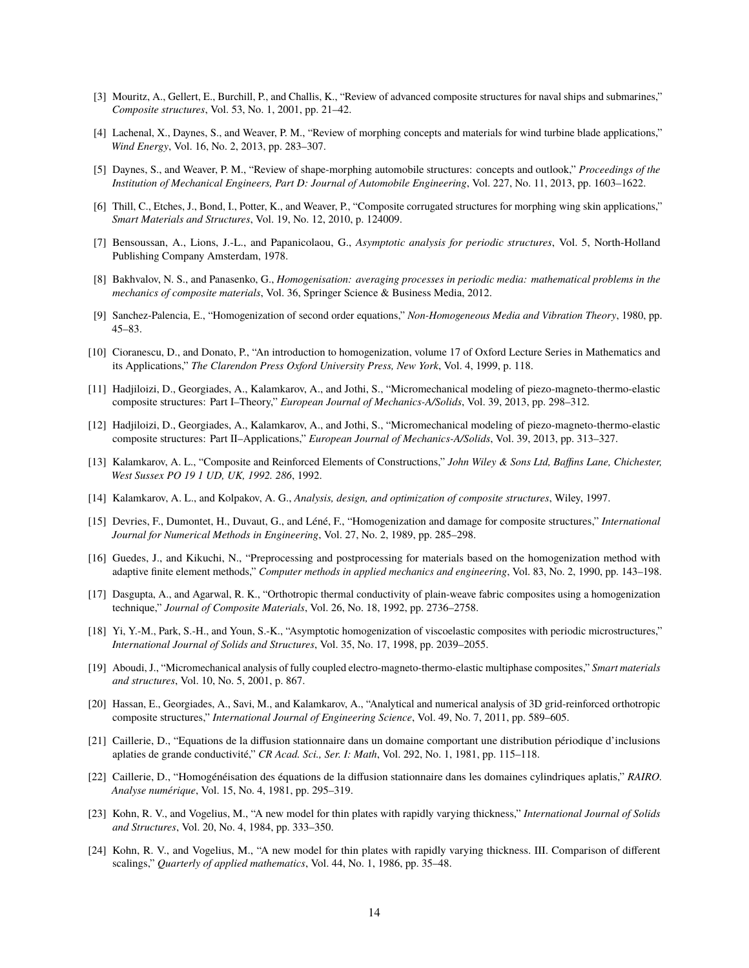- <span id="page-14-0"></span>[3] Mouritz, A., Gellert, E., Burchill, P., and Challis, K., "Review of advanced composite structures for naval ships and submarines," *Composite structures*, Vol. 53, No. 1, 2001, pp. 21–42.
- [4] Lachenal, X., Daynes, S., and Weaver, P. M., "Review of morphing concepts and materials for wind turbine blade applications," *Wind Energy*, Vol. 16, No. 2, 2013, pp. 283–307.
- [5] Daynes, S., and Weaver, P. M., "Review of shape-morphing automobile structures: concepts and outlook," *Proceedings of the Institution of Mechanical Engineers, Part D: Journal of Automobile Engineering*, Vol. 227, No. 11, 2013, pp. 1603–1622.
- <span id="page-14-1"></span>[6] Thill, C., Etches, J., Bond, I., Potter, K., and Weaver, P., "Composite corrugated structures for morphing wing skin applications," *Smart Materials and Structures*, Vol. 19, No. 12, 2010, p. 124009.
- <span id="page-14-2"></span>[7] Bensoussan, A., Lions, J.-L., and Papanicolaou, G., *Asymptotic analysis for periodic structures*, Vol. 5, North-Holland Publishing Company Amsterdam, 1978.
- <span id="page-14-13"></span>[8] Bakhvalov, N. S., and Panasenko, G., *Homogenisation: averaging processes in periodic media: mathematical problems in the mechanics of composite materials*, Vol. 36, Springer Science & Business Media, 2012.
- [9] Sanchez-Palencia, E., "Homogenization of second order equations," *Non-Homogeneous Media and Vibration Theory*, 1980, pp. 45–83.
- <span id="page-14-3"></span>[10] Cioranescu, D., and Donato, P., "An introduction to homogenization, volume 17 of Oxford Lecture Series in Mathematics and its Applications," *The Clarendon Press Oxford University Press, New York*, Vol. 4, 1999, p. 118.
- <span id="page-14-4"></span>[11] Hadjiloizi, D., Georgiades, A., Kalamkarov, A., and Jothi, S., "Micromechanical modeling of piezo-magneto-thermo-elastic composite structures: Part I–Theory," *European Journal of Mechanics-A/Solids*, Vol. 39, 2013, pp. 298–312.
- <span id="page-14-5"></span>[12] Hadjiloizi, D., Georgiades, A., Kalamkarov, A., and Jothi, S., "Micromechanical modeling of piezo-magneto-thermo-elastic composite structures: Part II–Applications," *European Journal of Mechanics-A/Solids*, Vol. 39, 2013, pp. 313–327.
- <span id="page-14-7"></span>[13] Kalamkarov, A. L., "Composite and Reinforced Elements of Constructions," *John Wiley & Sons Ltd, Baffins Lane, Chichester, West Sussex PO 19 1 UD, UK, 1992. 286*, 1992.
- <span id="page-14-8"></span>[14] Kalamkarov, A. L., and Kolpakov, A. G., *Analysis, design, and optimization of composite structures*, Wiley, 1997.
- [15] Devries, F., Dumontet, H., Duvaut, G., and Léné, F., "Homogenization and damage for composite structures," *International Journal for Numerical Methods in Engineering*, Vol. 27, No. 2, 1989, pp. 285–298.
- [16] Guedes, J., and Kikuchi, N., "Preprocessing and postprocessing for materials based on the homogenization method with adaptive finite element methods," *Computer methods in applied mechanics and engineering*, Vol. 83, No. 2, 1990, pp. 143–198.
- [17] Dasgupta, A., and Agarwal, R. K., "Orthotropic thermal conductivity of plain-weave fabric composites using a homogenization technique," *Journal of Composite Materials*, Vol. 26, No. 18, 1992, pp. 2736–2758.
- [18] Yi, Y.-M., Park, S.-H., and Youn, S.-K., "Asymptotic homogenization of viscoelastic composites with periodic microstructures," *International Journal of Solids and Structures*, Vol. 35, No. 17, 1998, pp. 2039–2055.
- [19] Aboudi, J., "Micromechanical analysis of fully coupled electro-magneto-thermo-elastic multiphase composites," *Smart materials and structures*, Vol. 10, No. 5, 2001, p. 867.
- <span id="page-14-6"></span>[20] Hassan, E., Georgiades, A., Savi, M., and Kalamkarov, A., "Analytical and numerical analysis of 3D grid-reinforced orthotropic composite structures," *International Journal of Engineering Science*, Vol. 49, No. 7, 2011, pp. 589–605.
- <span id="page-14-9"></span>[21] Caillerie, D., "Equations de la diffusion stationnaire dans un domaine comportant une distribution périodique d'inclusions aplaties de grande conductivité," *CR Acad. Sci., Ser. I: Math*, Vol. 292, No. 1, 1981, pp. 115–118.
- <span id="page-14-10"></span>[22] Caillerie, D., "Homogénéisation des équations de la diffusion stationnaire dans les domaines cylindriques aplatis," *RAIRO. Analyse numérique*, Vol. 15, No. 4, 1981, pp. 295–319.
- <span id="page-14-11"></span>[23] Kohn, R. V., and Vogelius, M., "A new model for thin plates with rapidly varying thickness," *International Journal of Solids and Structures*, Vol. 20, No. 4, 1984, pp. 333–350.
- <span id="page-14-12"></span>[24] Kohn, R. V., and Vogelius, M., "A new model for thin plates with rapidly varying thickness. III. Comparison of different scalings," *Quarterly of applied mathematics*, Vol. 44, No. 1, 1986, pp. 35–48.